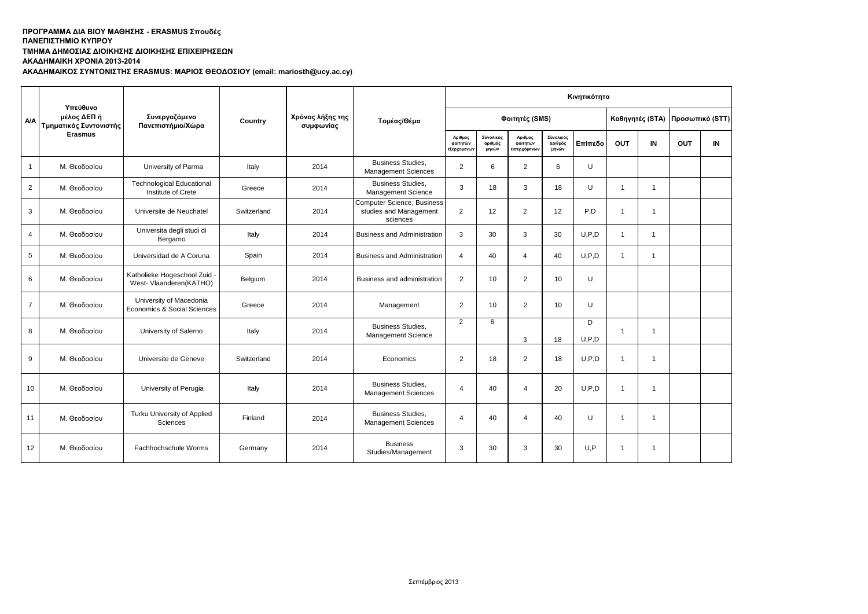## **ΤΜΗΜΑ ΔΗΜΟΣΙΑΣ ΔΙΟΙΚΗΣΗΣ ΔΙΟΙΚΗΣΗΣ ΕΠΙΧΕΙΡΗΣΕΩΝ**

**ΑΚΑΔΗΜΑΙΚΗ ΧΡΟΝΙΑ 2013-2014**

**ΑΚΑΔΗΜΑΙΚΟΣ ΣΥΝΤΟΝΙΣΤΗΣ ERASMUS: ΜΑΡΙΟΣ ΘΕΟΔΟΣΙΟΥ (email: mariosth@ucy.ac.cy)**

|                | Υπεύθυνο                              |                                                          |             |                               |                                                                  | Κινητικότητα                       |                               |                                     |                               |              |                |                 |                 |    |
|----------------|---------------------------------------|----------------------------------------------------------|-------------|-------------------------------|------------------------------------------------------------------|------------------------------------|-------------------------------|-------------------------------------|-------------------------------|--------------|----------------|-----------------|-----------------|----|
| <b>A/A</b>     | μέλος ΔΕΠ ή<br>Τμηματικός Συντονιστής | Συνεργαζόμενο<br>Πανεπιστήμιο/Χώρα                       | Country     | Χρόνος λήξης της<br>συμφωνίας | Τομέας/Θέμα                                                      |                                    |                               | Φοιτητές (SMS)                      |                               |              |                | Καθηγητές (STA) | Προσωπικό (STT) |    |
|                | Erasmus                               |                                                          |             |                               |                                                                  | Αριθμος<br>φοιτητών<br>εξερχομενων | Σύνολικός<br>αριθμός<br>μηνών | Αριθμος<br>φοιτητών<br>εισερχόμενων | Σύνολικός<br>αριθμός<br>μηνών | Επίπεδο      | OUT            | IN              | <b>OUT</b>      | IN |
| $\mathbf{1}$   | Μ. Θεοδοσίου                          | University of Parma                                      | Italy       | 2014                          | <b>Business Studies,</b><br><b>Management Sciences</b>           | 2                                  | 6                             | $\overline{2}$                      | 6                             | U            |                |                 |                 |    |
| $\overline{2}$ | Μ. Θεοδοσίου                          | <b>Technological Educational</b><br>Institute of Crete   | Greece      | 2014                          | <b>Business Studies,</b><br>Management Science                   | 3                                  | 18                            | 3                                   | 18                            | U            | $\overline{1}$ | $\overline{1}$  |                 |    |
| 3              | Μ. Θεοδοσίου                          | Universite de Neuchatel                                  | Switzerland | 2014                          | Computer Science, Business<br>studies and Management<br>sciences | $\overline{2}$                     | 12                            | $\overline{2}$                      | 12                            | P,D          | $\overline{1}$ | $\overline{1}$  |                 |    |
| 4              | Μ. Θεοδοσίου                          | Universita degli studi di<br>Bergamo                     | Italy       | 2014                          | <b>Business and Administration</b>                               | 3                                  | 30                            | 3                                   | 30                            | U.P.D        | $\overline{1}$ | $\mathbf{1}$    |                 |    |
| 5              | Μ. Θεοδοσίου                          | Universidad de A Coruna                                  | Spain       | 2014                          | <b>Business and Administration</b>                               | $\overline{4}$                     | 40                            | $\overline{4}$                      | 40                            | U.P.D        | $\overline{1}$ | $\mathbf{1}$    |                 |    |
| 6              | Μ. Θεοδοσίου                          | Katholieke Hogeschool Zuid -<br>West- Vlaanderen (KATHO) | Belgium     | 2014                          | Business and administration                                      | 2                                  | 10                            | $\overline{2}$                      | 10                            | U            |                |                 |                 |    |
| $\overline{7}$ | Μ. Θεοδοσίου                          | University of Macedonia<br>Economics & Social Sciences   | Greece      | 2014                          | Management                                                       | 2                                  | 10                            | $\overline{2}$                      | 10                            | U            |                |                 |                 |    |
| 8              | Μ. Θεοδοσίου                          | University of Salerno                                    | Italy       | 2014                          | <b>Business Studies.</b><br>Management Science                   | $\overline{2}$                     | 6                             | 3                                   | 18                            | D<br>U, P, D | $\overline{1}$ | $\overline{1}$  |                 |    |
| 9              | Μ. Θεοδοσίου                          | Universite de Geneve                                     | Switzerland | 2014                          | Economics                                                        | 2                                  | 18                            | $\overline{2}$                      | 18                            | U.P.D        | $\mathbf{1}$   | $\overline{1}$  |                 |    |
| 10             | Μ. Θεοδοσίου                          | University of Perugia                                    | Italy       | 2014                          | <b>Business Studies,</b><br><b>Management Sciences</b>           | 4                                  | 40                            | 4                                   | 20                            | U.P.D        | $\overline{1}$ | $\overline{1}$  |                 |    |
| 11             | Μ. Θεοδοσίου                          | Turku University of Applied<br>Sciences                  | Finland     | 2014                          | <b>Business Studies.</b><br><b>Management Sciences</b>           | $\overline{4}$                     | 40                            | 4                                   | 40                            | U            | $\overline{1}$ | $\overline{1}$  |                 |    |
| 12             | Μ. Θεοδοσίου                          | Fachhochschule Worms                                     | Germany     | 2014                          | <b>Business</b><br>Studies/Management                            | 3                                  | 30                            | 3                                   | 30                            | U,P          | $\overline{1}$ | -1              |                 |    |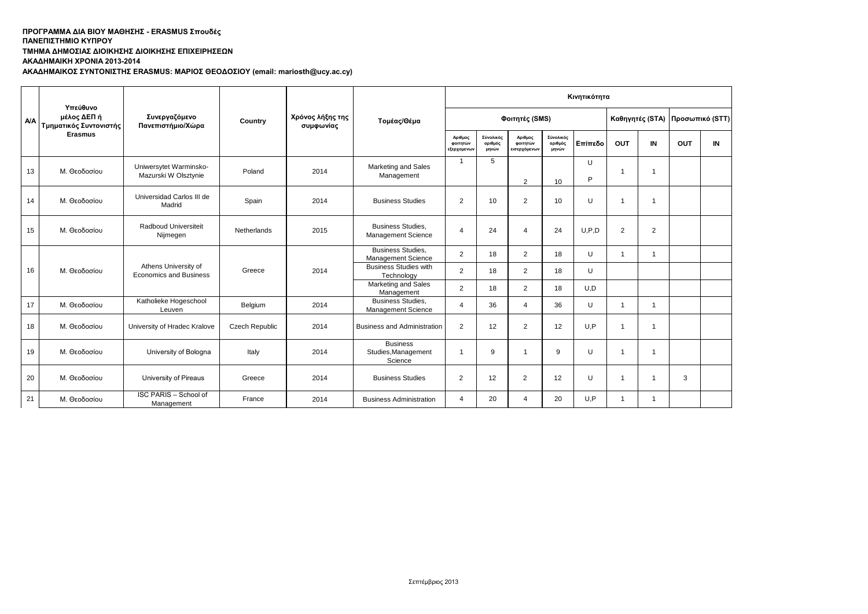## **ΤΜΗΜΑ ΔΗΜΟΣΙΑΣ ΔΙΟΙΚΗΣΗΣ ΔΙΟΙΚΗΣΗΣ ΕΠΙΧΕΙΡΗΣΕΩΝ**

**ΑΚΑΔΗΜΑΙΚΗ ΧΡΟΝΙΑ 2013-2014**

**ΑΚΑΔΗΜΑΙΚΟΣ ΣΥΝΤΟΝΙΣΤΗΣ ERASMUS: ΜΑΡΙΟΣ ΘΕΟΔΟΣΙΟΥ (email: mariosth@ucy.ac.cy)**

|            | Υπεύθυνο                              |                                                                                                                                              |                |                |                                                       |                                                |                      |                                     |                               | Κινητικότητα    |                |                |                         |    |  |
|------------|---------------------------------------|----------------------------------------------------------------------------------------------------------------------------------------------|----------------|----------------|-------------------------------------------------------|------------------------------------------------|----------------------|-------------------------------------|-------------------------------|-----------------|----------------|----------------|-------------------------|----|--|
| <b>A/A</b> | μέλος ΔΕΠ ή<br>Τμηματικός Συντονιστής | Συνεργαζόμενο<br>Χρόνος λήξης της<br>Τομέας/Θέμα<br>Country<br>Πανεπιστήμιο/Χώρα<br>συμφωνίας<br>Αριθμος<br>φοιτητών<br>μηνών<br>εξερχομενων |                | Φοιτητές (SMS) |                                                       |                                                | Καθηγητές (STA)      |                                     |                               | Προσωπικό (STT) |                |                |                         |    |  |
|            | <b>Erasmus</b>                        |                                                                                                                                              |                |                |                                                       |                                                | Σύνολικός<br>αριθμός | Αριθμος<br>φοιτητών<br>εισερχόμενων | Σύνολικός<br>αριθμός<br>μηνών | Επίπεδο         | <b>OUT</b>     | IN             | OUT                     | IN |  |
| 13         | Μ. Θεοδοσίου                          | Uniwersytet Warminsko-<br>Mazurski W Olsztynie                                                                                               | Poland         | 2014           | Marketing and Sales<br>Management                     | $\overline{1}$                                 | 5                    | 2                                   | 10                            | U<br>P          | $\overline{1}$ | -1             |                         |    |  |
| 14         | Μ. Θεοδοσίου                          | Universidad Carlos III de<br>Madrid                                                                                                          | Spain          | 2014           | <b>Business Studies</b>                               | 2                                              | 10                   | 2                                   | 10                            | U               | $\overline{1}$ | 1              |                         |    |  |
| 15         | Μ. Θεοδοσίου                          | Radboud Universiteit<br>Nijmegen                                                                                                             | Netherlands    | 2015           | <b>Business Studies.</b><br><b>Management Science</b> | $\Delta$                                       | 24                   | $\overline{4}$                      | 24                            | U.P.D           | 2              | 2              |                         |    |  |
|            | Μ. Θεοδοσίου                          | Athens University of<br>Economics and Business                                                                                               |                | 2014           |                                                       | <b>Business Studies.</b><br>Management Science | 2                    | 18                                  | 2                             | 18              | U              | $\overline{1}$ | $\overline{\mathbf{1}}$ |    |  |
| 16         |                                       |                                                                                                                                              | Greece         |                |                                                       | <b>Business Studies with</b><br>Technology     | 2                    | 18                                  | $\overline{2}$                | 18              | U              |                |                         |    |  |
|            |                                       |                                                                                                                                              |                |                | Marketing and Sales<br>Management                     | 2                                              | 18                   | $\overline{2}$                      | 18                            | U,D             |                |                |                         |    |  |
| 17         | Μ. Θεοδοσίου                          | Katholieke Hogeschool<br>Leuven                                                                                                              | Belgium        | 2014           | <b>Business Studies.</b><br>Management Science        | 4                                              | 36                   | 4                                   | 36                            | U               | $\overline{1}$ | $\overline{1}$ |                         |    |  |
| 18         | Μ. Θεοδοσίου                          | University of Hradec Kralove                                                                                                                 | Czech Republic | 2014           | <b>Business and Administration</b>                    | $\overline{2}$                                 | 12                   | $\overline{2}$                      | 12                            | U,P             | $\overline{1}$ | 1              |                         |    |  |
| 19         | Μ. Θεοδοσίου                          | University of Bologna                                                                                                                        | Italy          | 2014           | <b>Business</b><br>Studies, Management<br>Science     | -1                                             | 9                    | $\mathbf{1}$                        | 9                             | U               | $\overline{1}$ | $\mathbf{1}$   |                         |    |  |
| 20         | Μ. Θεοδοσίου                          | University of Pireaus                                                                                                                        | Greece         | 2014           | <b>Business Studies</b>                               | 2                                              | 12                   | $\overline{2}$                      | 12                            | U               | $\overline{1}$ | 1              | 3                       |    |  |
| 21         | Μ. Θεοδοσίου                          | ISC PARIS - School of<br>Management                                                                                                          | France         | 2014           | <b>Business Administration</b>                        | $\overline{4}$                                 | 20                   | $\overline{4}$                      | 20                            | U,P             | 1              | 1              |                         |    |  |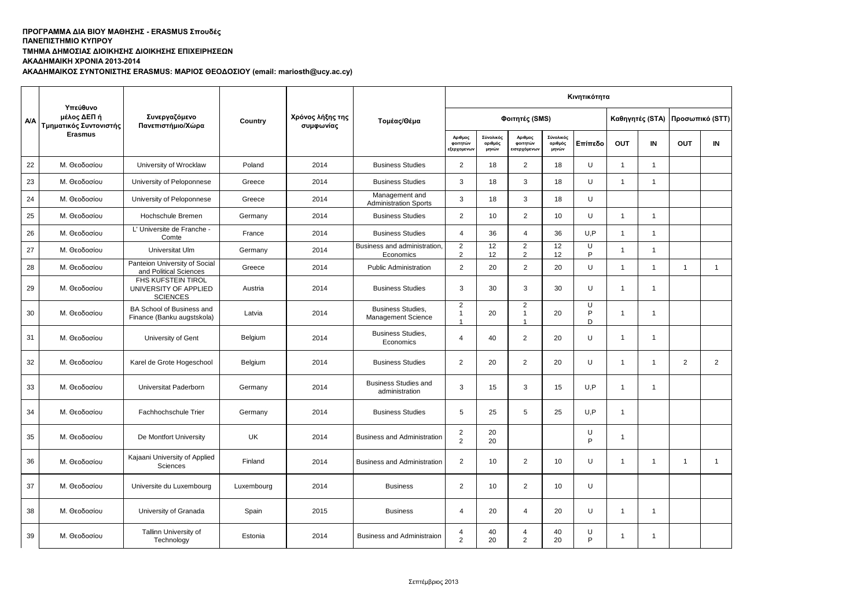# **ΤΜΗΜΑ ΔΗΜΟΣΙΑΣ ΔΙΟΙΚΗΣΗΣ ΔΙΟΙΚΗΣΗΣ ΕΠΙΧΕΙΡΗΣΕΩΝ**

**ΑΚΑΔΗΜΑΙΚΗ ΧΡΟΝΙΑ 2013-2014**

**ΑΚΑΔΗΜΑΙΚΟΣ ΣΥΝΤΟΝΙΣΤΗΣ ERASMUS: ΜΑΡΙΟΣ ΘΕΟΔΟΣΙΟΥ (email: mariosth@ucy.ac.cy)**

|            |                                                   |                                                                       |            |                               |                                                       | Κινητικότητα                                     |                               |                                                    |                               |                     |                                 |                |                |                |
|------------|---------------------------------------------------|-----------------------------------------------------------------------|------------|-------------------------------|-------------------------------------------------------|--------------------------------------------------|-------------------------------|----------------------------------------------------|-------------------------------|---------------------|---------------------------------|----------------|----------------|----------------|
| <b>A/A</b> | Υπεύθυνο<br>μέλος ΔΕΠ ή<br>Τμηματικός Συντονιστής | Συνεργαζόμενο<br>Πανεπιστήμιο/Χώρα                                    | Country    | Χρόνος λήξης της<br>συμφωνίας | Τομέας/Θέμα                                           | Φοιτητές (SMS)                                   |                               |                                                    |                               |                     | Καθηγητές (STA) Προσωπικό (STT) |                |                |                |
|            | <b>Erasmus</b>                                    |                                                                       |            |                               |                                                       | Αριθμος<br>φοιτητών<br>εξερχομενω                | Σύνολικός<br>αριθμός<br>μηνών | Αριθμος<br>φοιτητών<br>ισερχόμενω                  | Σύνολικός<br>αριθμός<br>μηνών | Επίπεδο             | <b>OUT</b>                      | IN             | <b>OUT</b>     | IN             |
| 22         | Μ. Θεοδοσίου                                      | University of Wrocklaw                                                | Poland     | 2014                          | <b>Business Studies</b>                               | $\overline{2}$                                   | 18                            | $\overline{2}$                                     | 18                            | U                   | $\overline{1}$                  | $\mathbf{1}$   |                |                |
| 23         | Μ. Θεοδοσίου                                      | University of Peloponnese                                             | Greece     | 2014                          | <b>Business Studies</b>                               | 3                                                | 18                            | 3                                                  | 18                            | U                   | $\overline{1}$                  | $\overline{1}$ |                |                |
| 24         | Μ. Θεοδοσίου                                      | University of Peloponnese                                             | Greece     | 2014                          | Management and<br><b>Administration Sports</b>        | 3                                                | 18                            | 3                                                  | 18                            | U                   |                                 |                |                |                |
| 25         | Μ. Θεοδοσίου                                      | Hochschule Bremen                                                     | Germany    | 2014                          | <b>Business Studies</b>                               | $\overline{2}$                                   | 10                            | $\overline{2}$                                     | 10                            | U                   | $\mathbf{1}$                    | $\mathbf{1}$   |                |                |
| 26         | Μ. Θεοδοσίου                                      | L' Universite de Franche -<br>Comte                                   | France     | 2014                          | <b>Business Studies</b>                               | $\overline{4}$                                   | 36                            | 4                                                  | 36                            | U,P                 | $\overline{1}$                  | $\mathbf{1}$   |                |                |
| 27         | Μ. Θεοδοσίου                                      | Universitat Ulm                                                       | Germany    | 2014                          | Business and administration.<br>Economics             | $\overline{2}$<br>2                              | 12<br>12                      | $\overline{2}$<br>$\overline{2}$                   | 12<br>12                      | $\overline{U}$<br>P | 1                               | $\overline{1}$ |                |                |
| 28         | Μ. Θεοδοσίου                                      | Panteion University of Social<br>and Political Sciences               | Greece     | 2014                          | Public Administration                                 | $\overline{2}$                                   | 20                            | $\overline{2}$                                     | 20                            | U                   | $\mathbf{1}$                    | $\overline{1}$ | $\overline{1}$ | $\overline{1}$ |
| 29         | Μ. Θεοδοσίου                                      | <b>FHS KUFSTEIN TIROL</b><br>UNIVERSITY OF APPLIED<br><b>SCIENCES</b> | Austria    | 2014                          | <b>Business Studies</b>                               | 3                                                | 30                            | 3                                                  | 30                            | U                   | 1                               | $\mathbf{1}$   |                |                |
| 30         | Μ. Θεοδοσίου                                      | BA School of Business and<br>Finance (Banku augstskola)               | Latvia     | 2014                          | <b>Business Studies,</b><br><b>Management Science</b> | $\overline{2}$<br>$\mathbf{1}$<br>$\overline{1}$ | 20                            | $\overline{2}$<br>$\overline{1}$<br>$\overline{1}$ | 20                            | U<br>P<br>D         | 1                               | $\mathbf{1}$   |                |                |
| 31         | Μ. Θεοδοσίου                                      | University of Gent                                                    | Belgium    | 2014                          | <b>Business Studies,</b><br>Economics                 | $\overline{4}$                                   | 40                            | $\overline{2}$                                     | 20                            | U                   | 1                               | $\mathbf{1}$   |                |                |
| 32         | Μ. Θεοδοσίου                                      | Karel de Grote Hogeschool                                             | Belgium    | 2014                          | <b>Business Studies</b>                               | 2                                                | 20                            | $\overline{2}$                                     | 20                            | U                   | 1                               | $\mathbf{1}$   | $\overline{c}$ | $\overline{a}$ |
| 33         | Μ. Θεοδοσίου                                      | Universitat Paderborn                                                 | Germany    | 2014                          | <b>Business Studies and</b><br>administration         | 3                                                | 15                            | 3                                                  | 15                            | U,P                 | 1                               | $\mathbf 1$    |                |                |
| 34         | Μ. Θεοδοσίου                                      | Fachhochschule Trier                                                  | Germany    | 2014                          | <b>Business Studies</b>                               | $\mathbf 5$                                      | 25                            | 5                                                  | 25                            | U.P                 | $\overline{1}$                  |                |                |                |
| 35         | Μ. Θεοδοσίου                                      | De Montfort University                                                | UK         | 2014                          | <b>Business and Administration</b>                    | $\sqrt{2}$<br>2                                  | 20<br>20                      |                                                    |                               | U<br>P              | 1                               |                |                |                |
| 36         | Μ. Θεοδοσίου                                      | Kajaani University of Applied<br>Sciences                             | Finland    | 2014                          | <b>Business and Administration</b>                    | $\overline{2}$                                   | 10                            | 2                                                  | 10                            | U                   | $\mathbf{1}$                    | $\overline{1}$ | $\overline{1}$ | $\overline{1}$ |
| 37         | Μ. Θεοδοσίου                                      | Universite du Luxembourg                                              | Luxembourg | 2014                          | <b>Business</b>                                       | 2                                                | 10                            | $\overline{2}$                                     | 10                            | U                   |                                 |                |                |                |
| 38         | Μ. Θεοδοσίου                                      | University of Granada                                                 | Spain      | 2015                          | <b>Business</b>                                       | $\overline{4}$                                   | 20                            | $\overline{4}$                                     | 20                            | U                   | $\mathbf{1}$                    | $\mathbf{1}$   |                |                |
| 39         | Μ. Θεοδοσίου                                      | Tallinn University of<br>Technology                                   | Estonia    | 2014                          | <b>Business and Administraion</b>                     | 4<br>2                                           | 40<br>20                      | 4<br>$\overline{2}$                                | 40<br>20                      | U<br>P              | -1                              | $\mathbf{1}$   |                |                |